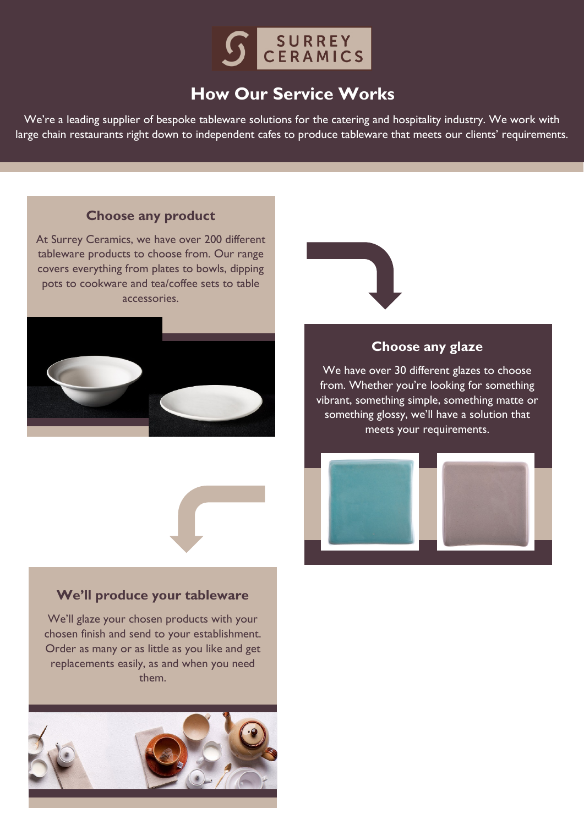

# **How Our Service Works**

We're a leading supplier of bespoke tableware solutions for the catering and hospitality industry. We work with large chain restaurants right down to independent cafes to produce tableware that meets our clients' requirements.

### **Choose any product**

At Surrey Ceramics, we have over 200 different tableware products to choose from. Our range covers everything from plates to bowls, dipping pots to cookware and tea/coffee sets to table accessories.





### **Choose any glaze**

We have over 30 different glazes to choose from. Whether you're looking for something vibrant, something simple, something matte or something glossy, we'll have a solution that meets your requirements.



### **We'll produce your tableware**

We'll glaze your chosen products with your chosen finish and send to your establishment. Order as many or as little as you like and get replacements easily, as and when you need them.